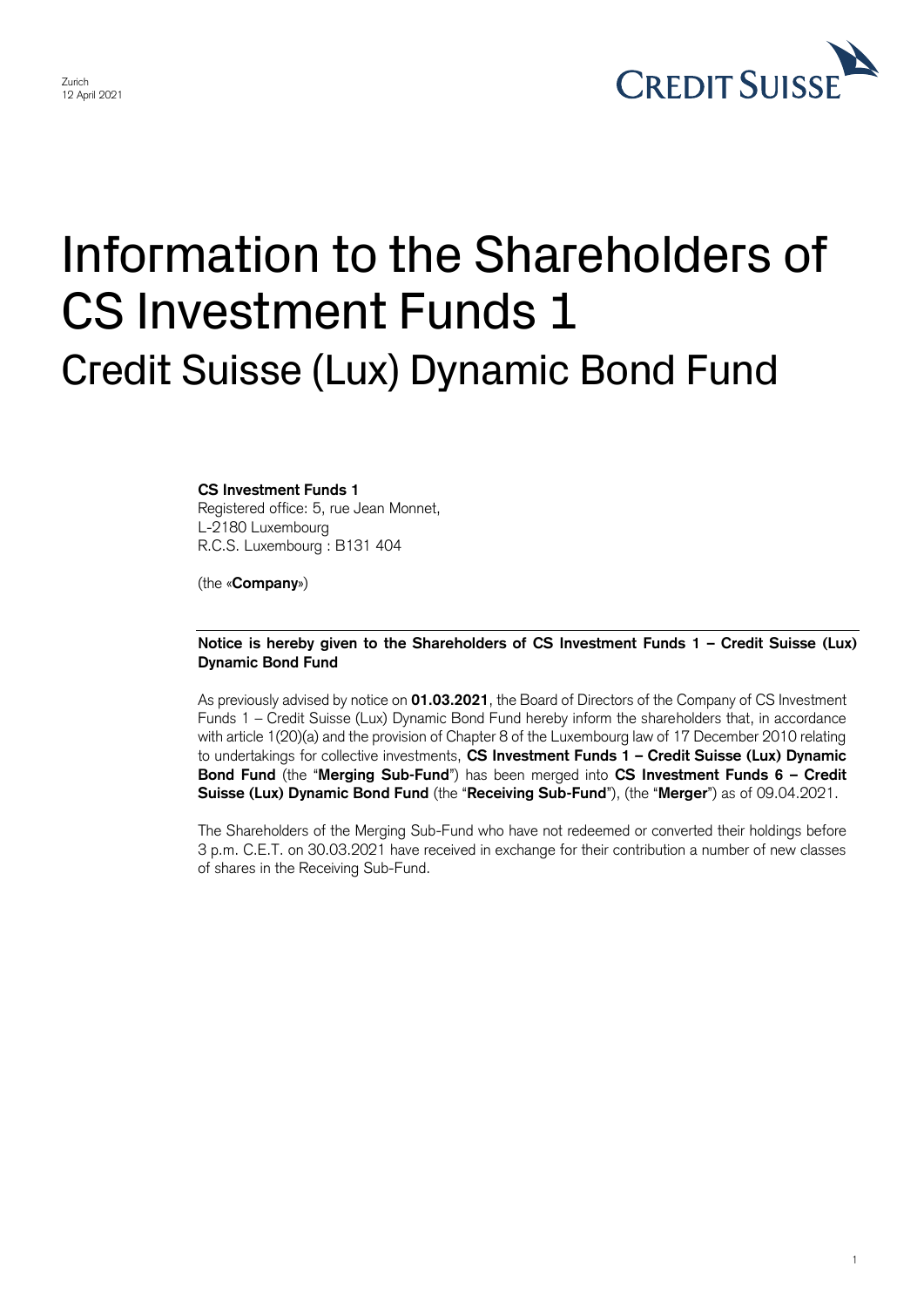

1

## Information to the Shareholders of CS Investment Funds 1 Credit Suisse (Lux) Dynamic Bond Fund

**CS Investment Funds 1**  Registered office: 5, rue Jean Monnet, L-2180 Luxembourg R.C.S. Luxembourg : B131 404

(the «**Company**»)

## **Notice is hereby given to the Shareholders of CS Investment Funds 1 – Credit Suisse (Lux) Dynamic Bond Fund**

 As previously advised by notice on **01.03.2021**, the Board of Directors of the Company of CS Investment Funds 1 – Credit Suisse (Lux) Dynamic Bond Fund hereby inform the shareholders that, in accordance with article 1(20)(a) and the provision of Chapter 8 of the Luxembourg law of 17 December 2010 relating to undertakings for collective investments, **CS Investment Funds 1 – Credit Suisse (Lux) Dynamic Bond Fund** (the "**Merging Sub-Fund**") has been merged into **CS Investment Funds 6 – Credit Suisse (Lux) Dynamic Bond Fund** (the "**Receiving Sub-Fund**"), (the "**Merger**") as of 09.04.2021.

 The Shareholders of the Merging Sub-Fund who have not redeemed or converted their holdings before 3 p.m. C.E.T. on 30.03.2021 have received in exchange for their contribution a number of new classes of shares in the Receiving Sub-Fund.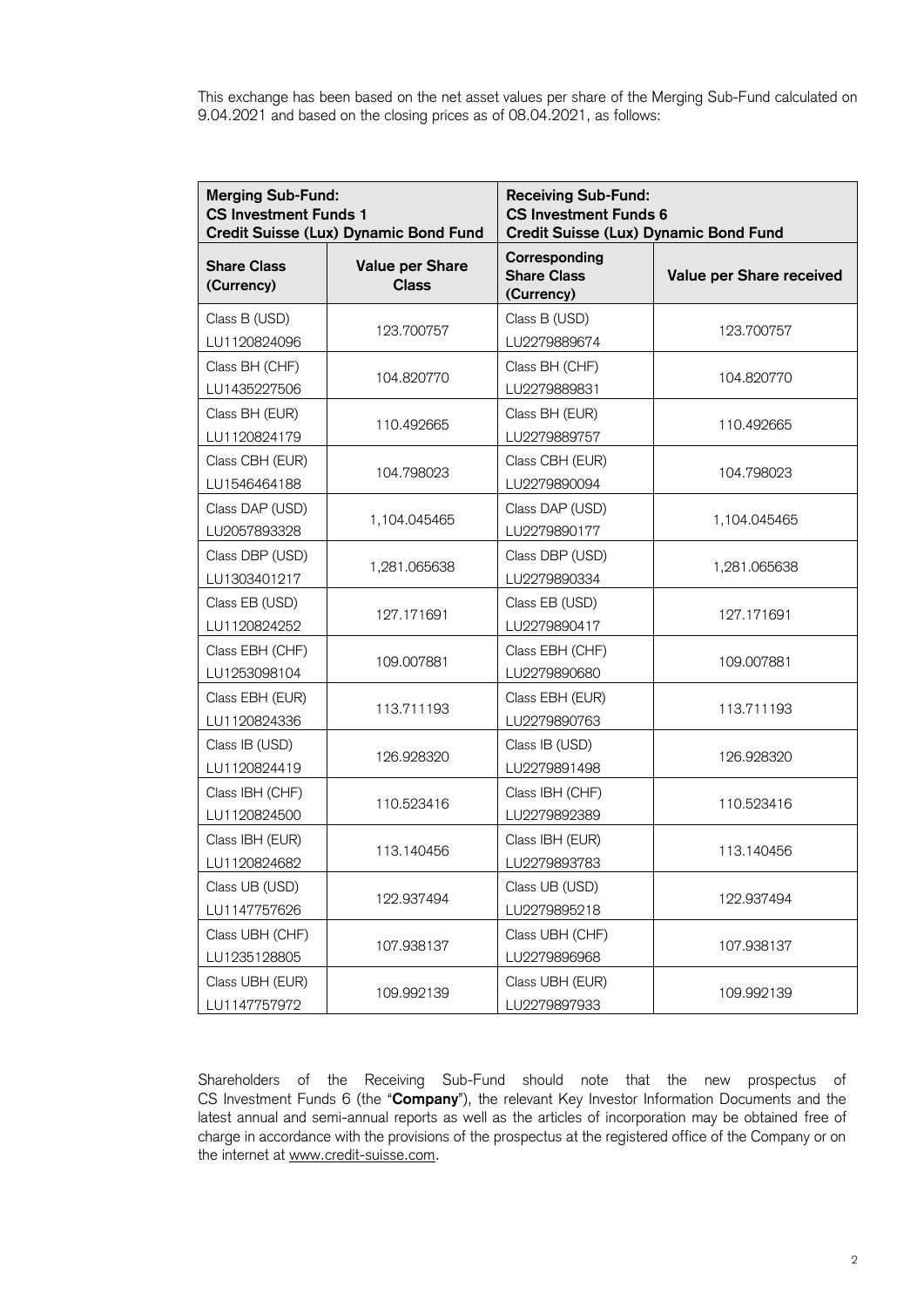This exchange has been based on the net asset values per share of the Merging Sub-Fund calculated on 9.04.2021 and based on the closing prices as of 08.04.2021, as follows:

| <b>Merging Sub-Fund:</b><br><b>CS Investment Funds 1</b><br><b>Credit Suisse (Lux) Dynamic Bond Fund</b> |                                        | <b>Receiving Sub-Fund:</b><br><b>CS Investment Funds 6</b><br>Credit Suisse (Lux) Dynamic Bond Fund |                          |
|----------------------------------------------------------------------------------------------------------|----------------------------------------|-----------------------------------------------------------------------------------------------------|--------------------------|
| <b>Share Class</b><br>(Currency)                                                                         | <b>Value per Share</b><br><b>Class</b> | Corresponding<br><b>Share Class</b><br>(Currency)                                                   | Value per Share received |
| Class B (USD)<br>LU1120824096                                                                            | 123.700757                             | Class B (USD)<br>LU2279889674                                                                       | 123.700757               |
| Class BH (CHF)<br>LU1435227506                                                                           | 104.820770                             | Class BH (CHF)<br>LU2279889831                                                                      | 104.820770               |
| Class BH (EUR)<br>LU1120824179                                                                           | 110.492665                             | Class BH (EUR)<br>LU2279889757                                                                      | 110.492665               |
| Class CBH (EUR)<br>LU1546464188                                                                          | 104.798023                             | Class CBH (EUR)<br>LU2279890094                                                                     | 104.798023               |
| Class DAP (USD)<br>LU2057893328                                                                          | 1,104.045465                           | Class DAP (USD)<br>LU2279890177                                                                     | 1,104.045465             |
| Class DBP (USD)<br>LU1303401217                                                                          | 1,281.065638                           | Class DBP (USD)<br>LU2279890334                                                                     | 1,281.065638             |
| Class EB (USD)<br>LU1120824252                                                                           | 127.171691                             | Class EB (USD)<br>LU2279890417                                                                      | 127.171691               |
| Class EBH (CHF)<br>LU1253098104                                                                          | 109.007881                             | Class EBH (CHF)<br>LU2279890680                                                                     | 109.007881               |
| Class EBH (EUR)<br>LU1120824336                                                                          | 113.711193                             | Class EBH (EUR)<br>LU2279890763                                                                     | 113.711193               |
| Class IB (USD)<br>LU1120824419                                                                           | 126.928320                             | Class IB (USD)<br>LU2279891498                                                                      | 126.928320               |
| Class IBH (CHF)<br>LU1120824500                                                                          | 110.523416                             | Class IBH (CHF)<br>LU2279892389                                                                     | 110.523416               |
| Class IBH (EUR)<br>LU1120824682                                                                          | 113.140456                             | Class IBH (EUR)<br>LU2279893783                                                                     | 113.140456               |
| Class UB (USD)<br>LU1147757626                                                                           | 122.937494                             | Class UB (USD)<br>LU2279895218                                                                      | 122.937494               |
| Class UBH (CHF)<br>LU1235128805                                                                          | 107.938137                             | Class UBH (CHF)<br>LU2279896968                                                                     | 107.938137               |
| Class UBH (EUR)<br>LU1147757972                                                                          | 109.992139                             | Class UBH (EUR)<br>LU2279897933                                                                     | 109.992139               |

 Shareholders of the Receiving Sub-Fund should note that the new prospectus of CS Investment Funds 6 (the "**Company**"), the relevant Key Investor Information Documents and the latest annual and semi-annual reports as well as the articles of incorporation may be obtained free of charge in accordance with the provisions of the prospectus at the registered office of the Company or on the internet at [www.credit-suisse.com.](http://www.credit-suisse.com/)